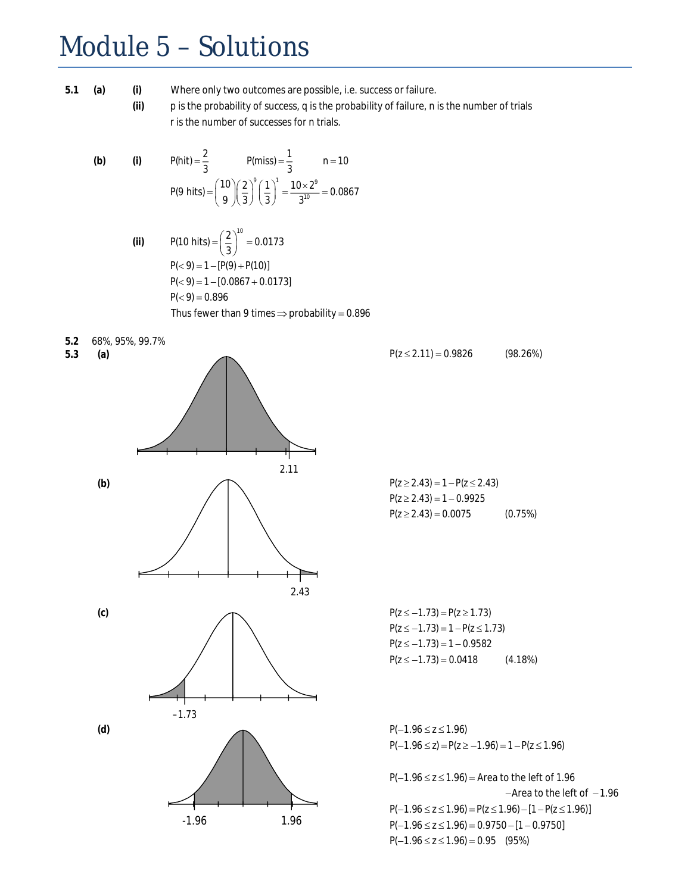## Module 5 – Solutions

**(a) (i)**

 $5.2$ 

**(ii)**

**5.1** Where only two outcomes are possible, i.e. success or failure.

p is the probability of success, q is the probability of failure, n is the number of trials r is the number of successes for n tr ials.

(b) (i) 
$$
P(ht) = \frac{2}{3}
$$
  $P(miss) = \frac{1}{3}$   $n = 10$   
 $P(9 \text{ hits}) = {\binom{10}{9}} {\left(\frac{2}{3}\right)}^9 {\left(\frac{1}{3}\right)}^1 = \frac{10 \times 2^9}{3^{10}} = 0.0867$ 

(ii) 
$$
P(10 \text{ hits}) = \left(\frac{2}{3}\right)^{10} = 0.0173
$$
  
\n $P(< 9) = 1 - [P(9) + P(10)]$   
\n $P(< 9) = 1 - [0.0867 + 0.0173]$   
\n $P(< 9) = 0.896$   
\nThus fewer than 9 times  $\Rightarrow$  probability = 0.896

5.2 68%, 95%, 99.7%  
5.3 (a) 
$$
P(z \le 2.11) = 0.9826
$$
 (98.26%)

(b)  
\n
$$
P(z \ge 2.43) = 1 - P(z \le 2.43)
$$
\n
$$
P(z \ge 2.43) = 1 - 0.9925
$$
\n
$$
P(z \ge 2.43) = 0.0075
$$

(c)  $P(z \le -1.73) = P(z \ge 1.73)$ 2.43



-1.96 1.96

 $P(z \ge 2.43) = 1 - 0.9925$  $P(z \ge 2.43) = 0.0075$  (0.75%)

 $P(z \le -1.73) = 1 - P(z \le 1.73)$  $P(z \le -1.73) = 1 - 0.9582$  $P(z \le -1.73) = 0.0418$  (4.18%)

 $P(-1.96 \le z) = P(z \ge -1.96) = 1 - P(z \le 1.96)$ 

 $P(-1.96 \le z \le 1.96) =$  Area to the left of 1.96  $-A$ rea to the left of  $-1.96$  $P(-1.96 \le z \le 1.96) = P(z \le 1.96) - [1 - P(z \le 1.96)]$  $P(-1.96 \le z \le 1.96) = 0.9750 - [1 - 0.9750]$  $P(-1.96 \le z \le 1.96) = 0.95$  (95%)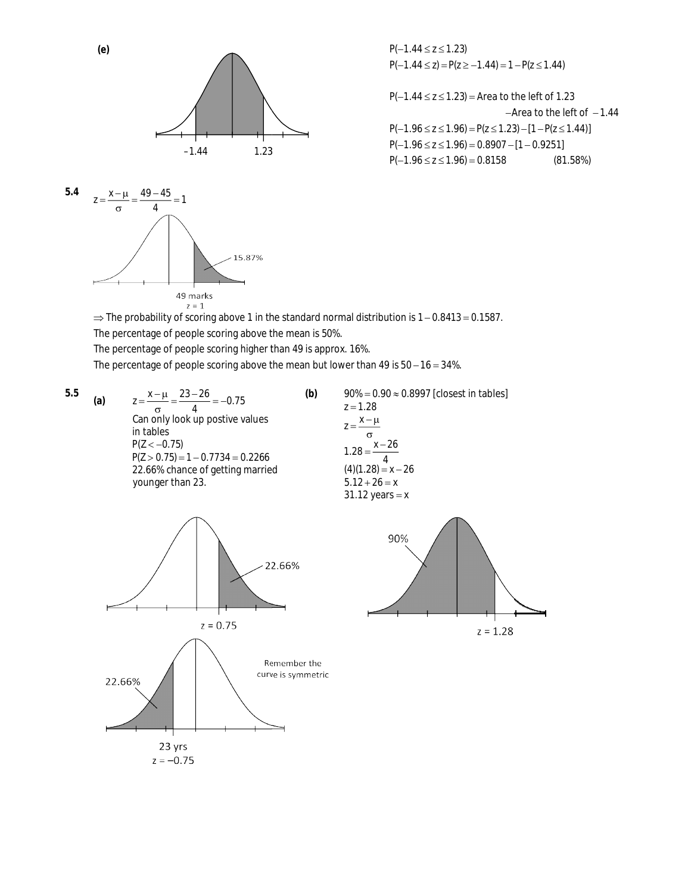



 $P(-1.44 \le z \le 1.23)$  $P(-1.44 \le z) = P(z \ge -1.44) = 1 - P(z \le 1.44)$ 

 $P(-1.44 \le z \le 1.23)$  = Area to the left of 1.23  $-A$ rea to the left of  $-1.44$  $P(-1.96 \le z \le 1.96) = P(z \le 1.23) - [1 - P(z \le 1.44)]$  $P(-1.96 \le z \le 1.96) = 0.8907 - [1 - 0.9251]$  $P(-1.96 \le z \le 1.96) = 0.8158$  (81.58%) ׇ֦ׅ֘

 $\Rightarrow$  The probability of scoring above 1 in the standard normal distribution is  $1-0.8413=0.1587$ . The percentage of people scoring above the mean is 50%. The percentage of people scoring higher than 49 is app rox. 16%.

**(b)**

The percentage of people scoring above the mean but lower than 49 is  $50 - 16 = 34\%$ .

**(a)**

**(e)**

Can only look up postive values in tables  $P(Z < -0.75)$  $P(Z > 0.75) = 1 - 0.7734 = 0.2266$ 22.66% chance of getting married younger than 23.

5.5  
\n(a) 
$$
z = \frac{x - \mu}{\sigma} = \frac{23 - 26}{4} = -0.75
$$
  
\nCan only look up positive values  
\nin tables  
\n $P(Z < -0.75)$   
\n $P(Z > 0.75) = 1 - 0.7734 = 0.2266$   
\n22.66% chance of getting married  
\nyounger than 23.  
\n(b) 90% = 0.90  $\approx$  0.8997 [closest in tables]  
\n $z = 1.28$   
\n $z = \frac{x - \mu}{\sigma}$   
\n1.28 =  $\frac{x - 26}{4}$   
\n(4)(1.28) = x - 26  
\n5.12 + 26 = x  
\n31.12 years = x